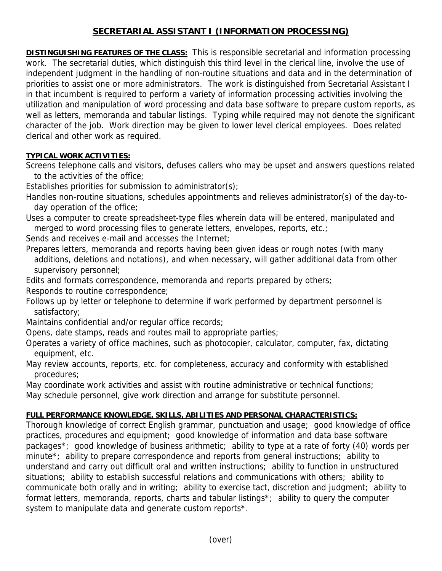## **SECRETARIAL ASSISTANT I (INFORMATION PROCESSING)**

**DISTINGUISHING FEATURES OF THE CLASS:** This is responsible secretarial and information processing work. The secretarial duties, which distinguish this third level in the clerical line, involve the use of independent judgment in the handling of non-routine situations and data and in the determination of priorities to assist one or more administrators. The work is distinguished from Secretarial Assistant I in that incumbent is required to perform a variety of information processing activities involving the utilization and manipulation of word processing and data base software to prepare custom reports, as well as letters, memoranda and tabular listings. Typing while required may not denote the significant character of the job. Work direction may be given to lower level clerical employees. Does related clerical and other work as required.

## **TYPICAL WORK ACTIVITIES:**

Screens telephone calls and visitors, defuses callers who may be upset and answers questions related to the activities of the office;

Establishes priorities for submission to administrator(s);

- Handles non-routine situations, schedules appointments and relieves administrator(s) of the day-to day operation of the office;
- Uses a computer to create spreadsheet-type files wherein data will be entered, manipulated and merged to word processing files to generate letters, envelopes, reports, etc.;

Sends and receives e-mail and accesses the Internet;

Prepares letters, memoranda and reports having been given ideas or rough notes (with many additions, deletions and notations), and when necessary, will gather additional data from other supervisory personnel;

Edits and formats correspondence, memoranda and reports prepared by others;

Responds to routine correspondence;

Follows up by letter or telephone to determine if work performed by department personnel is satisfactory;

Maintains confidential and/or regular office records;

Opens, date stamps, reads and routes mail to appropriate parties;

Operates a variety of office machines, such as photocopier, calculator, computer, fax, dictating equipment, etc.

May review accounts, reports, etc. for completeness, accuracy and conformity with established procedures;

May coordinate work activities and assist with routine administrative or technical functions;

May schedule personnel, give work direction and arrange for substitute personnel.

## **FULL PERFORMANCE KNOWLEDGE, SKILLS, ABILITIES AND PERSONAL CHARACTERISTICS:**

Thorough knowledge of correct English grammar, punctuation and usage; good knowledge of office practices, procedures and equipment; good knowledge of information and data base software packages\*; good knowledge of business arithmetic; ability to type at a rate of forty (40) words per minute<sup>\*</sup>; ability to prepare correspondence and reports from general instructions; ability to understand and carry out difficult oral and written instructions; ability to function in unstructured situations; ability to establish successful relations and communications with others; ability to communicate both orally and in writing; ability to exercise tact, discretion and judgment; ability to format letters, memoranda, reports, charts and tabular listings\*; ability to query the computer system to manipulate data and generate custom reports\*.